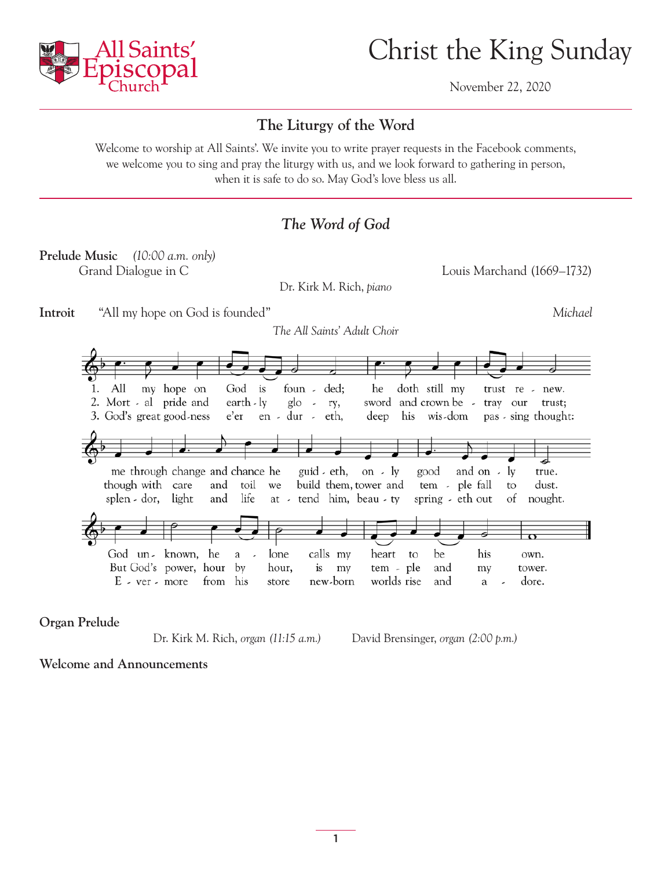

Christ the King Sunday

November 22, 2020

## **The Liturgy of the Word**

Welcome to worship at All Saints'. We invite you to write prayer requests in the Facebook comments, we welcome you to sing and pray the liturgy with us, and we look forward to gathering in person, when it is safe to do so. May God's love bless us all.

## *The Word of God*

**Prelude Music** *(10:00 a.m. only)* Grand Dialogue in C<br>
Louis Marchand (1669–1732)

Dr. Kirk M. Rich, *piano*

**Introit** "All my hope on God is founded" *Michael*

*The All Saints' Adult Choir*



**Organ Prelude**

Dr. Kirk M. Rich, *organ (11:15 a.m.)* David Brensinger, *organ (2:00 p.m.)*

**Welcome and Announcements**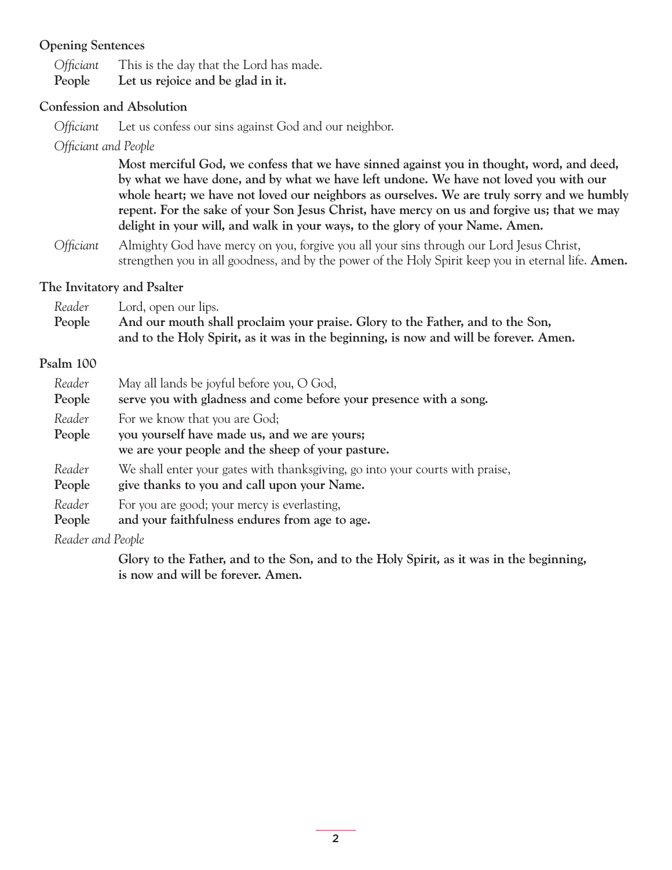### **Opening Sentences**

*Officiant* This is the day that the Lord has made. **People Let us rejoice and be glad in it.**

#### **Confession and Absolution**

*Officiant* Let us confess our sins against God and our neighbor.

*Officiant and People*

 **Most merciful God, we confess that we have sinned against you in thought, word, and deed, by what we have done, and by what we have left undone. We have not loved you with our whole heart; we have not loved our neighbors as ourselves. We are truly sorry and we humbly repent. For the sake of your Son Jesus Christ, have mercy on us and forgive us; that we may delight in your will, and walk in your ways, to the glory of your Name. Amen.**

*Officiant* Almighty God have mercy on you, forgive you all your sins through our Lord Jesus Christ, strengthen you in all goodness, and by the power of the Holy Spirit keep you in eternal life. **Amen.**

#### **The Invitatory and Psalter**

| Reader | Lord, open our lips.                                                                  |
|--------|---------------------------------------------------------------------------------------|
| People | And our mouth shall proclaim your praise. Glory to the Father, and to the Son,        |
|        | and to the Holy Spirit, as it was in the beginning, is now and will be forever. Amen. |

#### **Psalm 100**

| Reader                     | May all lands be joyful before you, O God,                                                                                         |
|----------------------------|------------------------------------------------------------------------------------------------------------------------------------|
| People                     | serve you with gladness and come before your presence with a song.                                                                 |
| Reader<br>People           | For we know that you are God;<br>you yourself have made us, and we are yours;<br>we are your people and the sheep of your pasture. |
| Reader                     | We shall enter your gates with thanksgiving, go into your courts with praise,                                                      |
| People                     | give thanks to you and call upon your Name.                                                                                        |
| Reader                     | For you are good; your mercy is everlasting,                                                                                       |
| People                     | and your faithfulness endures from age to age.                                                                                     |
| $D$ and an and $D$ and $a$ |                                                                                                                                    |

*Reader and People*

**Glory to the Father, and to the Son, and to the Holy Spirit, as it was in the beginning, is now and will be forever. Amen.**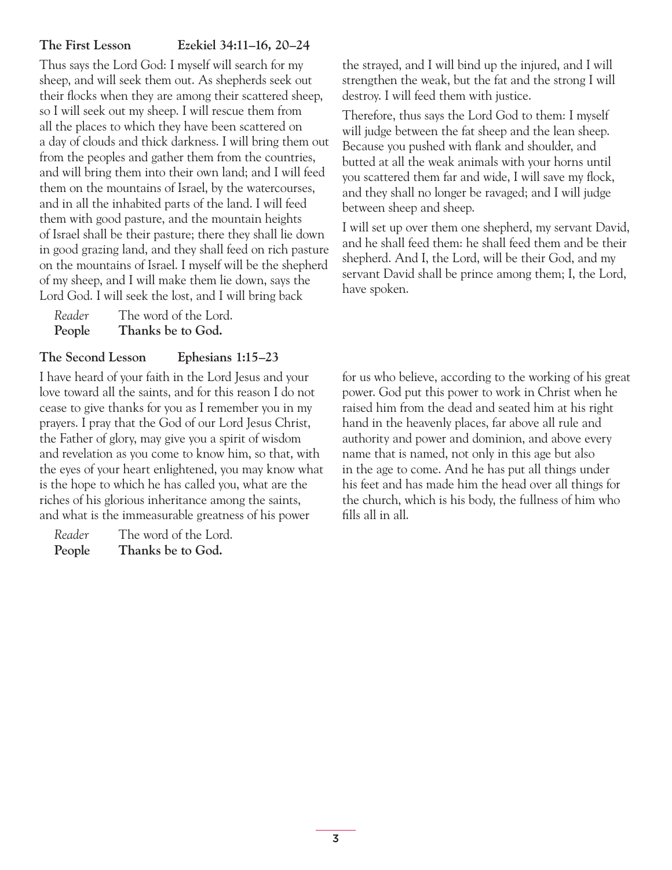Thus says the Lord God: I myself will search for my sheep, and will seek them out. As shepherds seek out their flocks when they are among their scattered sheep, so I will seek out my sheep. I will rescue them from all the places to which they have been scattered on a day of clouds and thick darkness. I will bring them out from the peoples and gather them from the countries, and will bring them into their own land; and I will feed them on the mountains of Israel, by the watercourses, and in all the inhabited parts of the land. I will feed them with good pasture, and the mountain heights of Israel shall be their pasture; there they shall lie down in good grazing land, and they shall feed on rich pasture on the mountains of Israel. I myself will be the shepherd of my sheep, and I will make them lie down, says the Lord God. I will seek the lost, and I will bring back

*Reader* The word of the Lord. **People Thanks be to God.**

## **The Second Lesson Ephesians 1:15–23**

I have heard of your faith in the Lord Jesus and your love toward all the saints, and for this reason I do not cease to give thanks for you as I remember you in my prayers. I pray that the God of our Lord Jesus Christ, the Father of glory, may give you a spirit of wisdom and revelation as you come to know him, so that, with the eyes of your heart enlightened, you may know what is the hope to which he has called you, what are the riches of his glorious inheritance among the saints, and what is the immeasurable greatness of his power

| Reader | The word of the Lord. |
|--------|-----------------------|
| People | Thanks be to God.     |

the strayed, and I will bind up the injured, and I will strengthen the weak, but the fat and the strong I will destroy. I will feed them with justice.

Therefore, thus says the Lord God to them: I myself will judge between the fat sheep and the lean sheep. Because you pushed with flank and shoulder, and butted at all the weak animals with your horns until you scattered them far and wide, I will save my flock, and they shall no longer be ravaged; and I will judge between sheep and sheep.

I will set up over them one shepherd, my servant David, and he shall feed them: he shall feed them and be their shepherd. And I, the Lord, will be their God, and my servant David shall be prince among them; I, the Lord, have spoken.

for us who believe, according to the working of his great power. God put this power to work in Christ when he raised him from the dead and seated him at his right hand in the heavenly places, far above all rule and authority and power and dominion, and above every name that is named, not only in this age but also in the age to come. And he has put all things under his feet and has made him the head over all things for the church, which is his body, the fullness of him who fills all in all.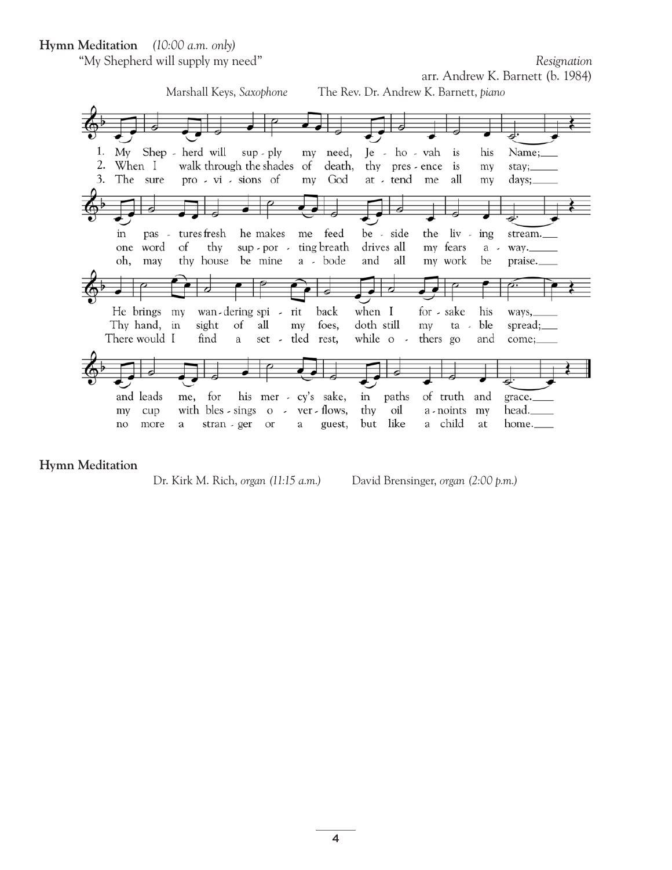**Hymn Meditation** *(10:00 a.m. only)*

"My Shepherd will supply my need" *Resignation*

 arr. Andrew K. Barnett (b. 1984) Marshall Keys, *Saxophone* The Rev. Dr. Andrew K. Barnett, *piano* 1. My Shep - herd will  $sup$  -  $ply$ my need, Je - ho - vah his Name; is 2. When I walk through the shades of death, thy pres - ence is my stay; 3. The sure  $pro \cdot vi \cdot sions$  of at - tend me my God all my  $days;$ be - side the liv - ing in pas tures fresh he makes me feed stream. one word of thy sup - por - ting breath drives all my fears  $a$  way. oh, may thy house be mine a - bode and all my work be praise. wan-dering spi - rit back when I He brings my for - sake his ways, Thy hand, in sight of all my foes, doth still my ta ble spread; There would I find a set tled rest, while o thers go and come; and leads his mer - cy's sake, in paths of truth and me, for grace. with bles - sings o - ver - flows, thy oil a - noints my head. my cup stran - ger or but like a child home. no more  $\mathbf{a}$  $\mathbf{a}$ guest, at

#### **Hymn Meditation**

Dr. Kirk M. Rich, *organ (11:15 a.m.)* David Brensinger, *organ (2:00 p.m.)*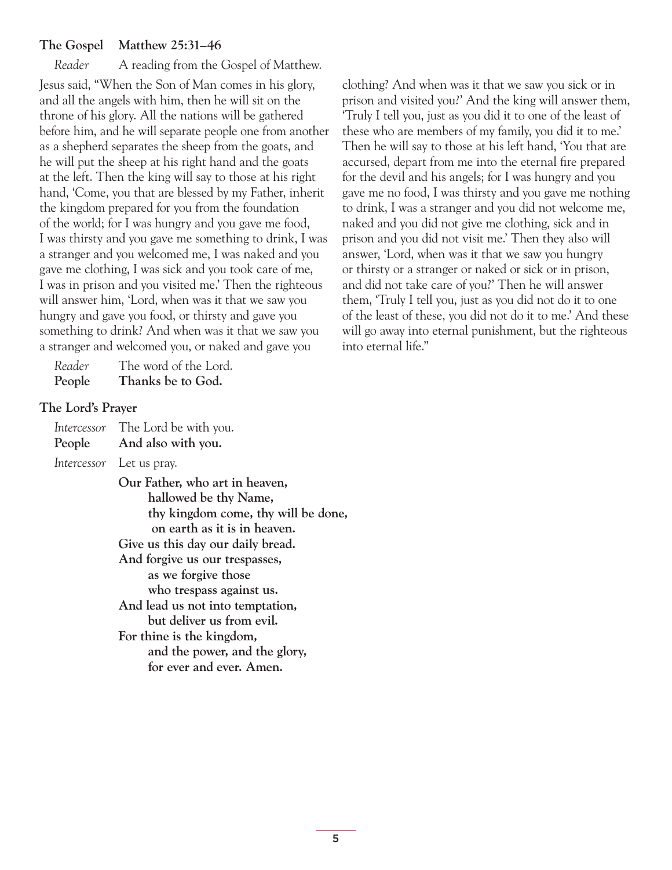#### **The Gospel Matthew 25:31–46**

*Reader* A reading from the Gospel of Matthew.

Jesus said, "When the Son of Man comes in his glory, and all the angels with him, then he will sit on the throne of his glory. All the nations will be gathered before him, and he will separate people one from another as a shepherd separates the sheep from the goats, and he will put the sheep at his right hand and the goats at the left. Then the king will say to those at his right hand, 'Come, you that are blessed by my Father, inherit the kingdom prepared for you from the foundation of the world; for I was hungry and you gave me food, I was thirsty and you gave me something to drink, I was a stranger and you welcomed me, I was naked and you gave me clothing, I was sick and you took care of me, I was in prison and you visited me.' Then the righteous will answer him, 'Lord, when was it that we saw you hungry and gave you food, or thirsty and gave you something to drink? And when was it that we saw you a stranger and welcomed you, or naked and gave you

| Reader | The word of the Lord. |
|--------|-----------------------|
| People | Thanks be to God.     |

#### **The Lord's Prayer**

| People | Intercessor The Lord be with you.<br>And also with you.                                                                                                                                                                                                                                                                                                                                                             |
|--------|---------------------------------------------------------------------------------------------------------------------------------------------------------------------------------------------------------------------------------------------------------------------------------------------------------------------------------------------------------------------------------------------------------------------|
|        | Intercessor Let us pray.                                                                                                                                                                                                                                                                                                                                                                                            |
|        | Our Father, who art in heaven,<br>hallowed be thy Name,<br>thy kingdom come, thy will be done,<br>on earth as it is in heaven.<br>Give us this day our daily bread.<br>And forgive us our trespasses,<br>as we forgive those<br>who trespass against us.<br>And lead us not into temptation,<br>but deliver us from evil.<br>For thine is the kingdom,<br>and the power, and the glory,<br>for ever and ever. Amen. |
|        |                                                                                                                                                                                                                                                                                                                                                                                                                     |

clothing? And when was it that we saw you sick or in prison and visited you?' And the king will answer them, 'Truly I tell you, just as you did it to one of the least of these who are members of my family, you did it to me.' Then he will say to those at his left hand, 'You that are accursed, depart from me into the eternal fire prepared for the devil and his angels; for I was hungry and you gave me no food, I was thirsty and you gave me nothing to drink, I was a stranger and you did not welcome me, naked and you did not give me clothing, sick and in prison and you did not visit me.' Then they also will answer, 'Lord, when was it that we saw you hungry or thirsty or a stranger or naked or sick or in prison, and did not take care of you?' Then he will answer them, 'Truly I tell you, just as you did not do it to one of the least of these, you did not do it to me.' And these will go away into eternal punishment, but the righteous into eternal life."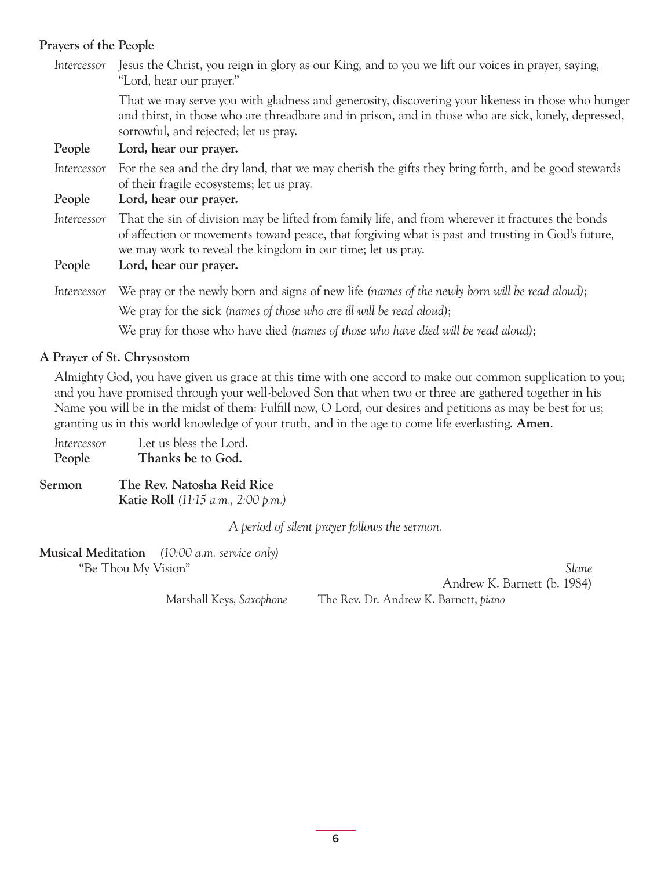## **Prayers of the People**

| Intercessor | Jesus the Christ, you reign in glory as our King, and to you we lift our voices in prayer, saying,<br>"Lord, hear our prayer."                                                                                                                                        |
|-------------|-----------------------------------------------------------------------------------------------------------------------------------------------------------------------------------------------------------------------------------------------------------------------|
|             | That we may serve you with gladness and generosity, discovering your likeness in those who hunger<br>and thirst, in those who are threadbare and in prison, and in those who are sick, lonely, depressed,<br>sorrowful, and rejected; let us pray.                    |
| People      | Lord, hear our prayer.                                                                                                                                                                                                                                                |
| Intercessor | For the sea and the dry land, that we may cherish the gifts they bring forth, and be good stewards<br>of their fragile ecosystems; let us pray.                                                                                                                       |
| People      | Lord, hear our prayer.                                                                                                                                                                                                                                                |
| Intercessor | That the sin of division may be lifted from family life, and from wherever it fractures the bonds<br>of affection or movements toward peace, that forgiving what is past and trusting in God's future,<br>we may work to reveal the kingdom in our time; let us pray. |
| People      | Lord, hear our prayer.                                                                                                                                                                                                                                                |
| Intercessor | We pray or the newly born and signs of new life (names of the newly born will be read aloud);                                                                                                                                                                         |
|             | We pray for the sick (names of those who are ill will be read aloud);                                                                                                                                                                                                 |
|             | We pray for those who have died (names of those who have died will be read aloud);                                                                                                                                                                                    |

## **A Prayer of St. Chrysostom**

Almighty God, you have given us grace at this time with one accord to make our common supplication to you; and you have promised through your well-beloved Son that when two or three are gathered together in his Name you will be in the midst of them: Fulfill now, O Lord, our desires and petitions as may be best for us; granting us in this world knowledge of your truth, and in the age to come life everlasting. **Amen**.

*Intercessor* Let us bless the Lord. **People Thanks be to God.**

**Sermon The Rev. Natosha Reid Rice Katie Roll** *(11:15 a.m., 2:00 p.m.)*

*A period of silent prayer follows the sermon.*

**Musical Meditation** *(10:00 a.m. service only)* "Be Thou My Vision" *Slane*

Andrew K. Barnett (b. 1984)

Marshall Keys, *Saxophone* The Rev. Dr. Andrew K. Barnett, *piano*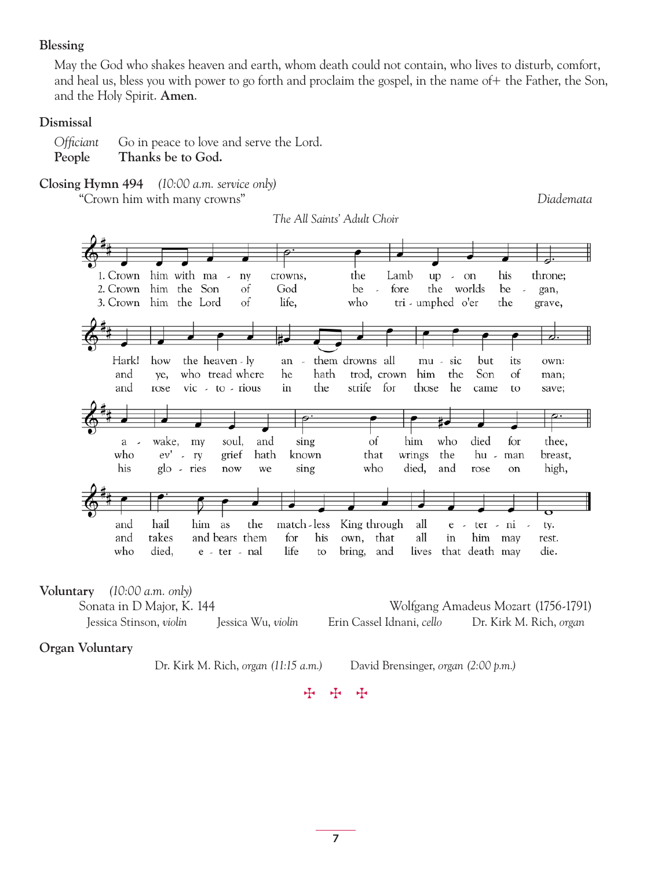#### **Blessing**

May the God who shakes heaven and earth, whom death could not contain, who lives to disturb, comfort, and heal us, bless you with power to go forth and proclaim the gospel, in the name of+ the Father, the Son, and the Holy Spirit. **Amen**.

#### **Dismissal**

*Officiant* Go in peace to love and serve the Lord. **People Thanks be to God.**

**Closing Hymn 494** *(10:00 a.m. service only)*

"Crown him with many crowns" *Diademata*



**Voluntary** *(10:00 a.m. only)*

Sonata in D Major, K. 144 Wolfgang Amadeus Mozart (1756-1791) Jessica Stinson, *violin* Jessica Wu, *violin* Erin Cassel Idnani, *cello* Dr. Kirk M. Rich, *organ*

### **Organ Voluntary**

Dr. Kirk M. Rich, *organ (11:15 a.m.)* David Brensinger, *organ (2:00 p.m.)*

**丹 子 子**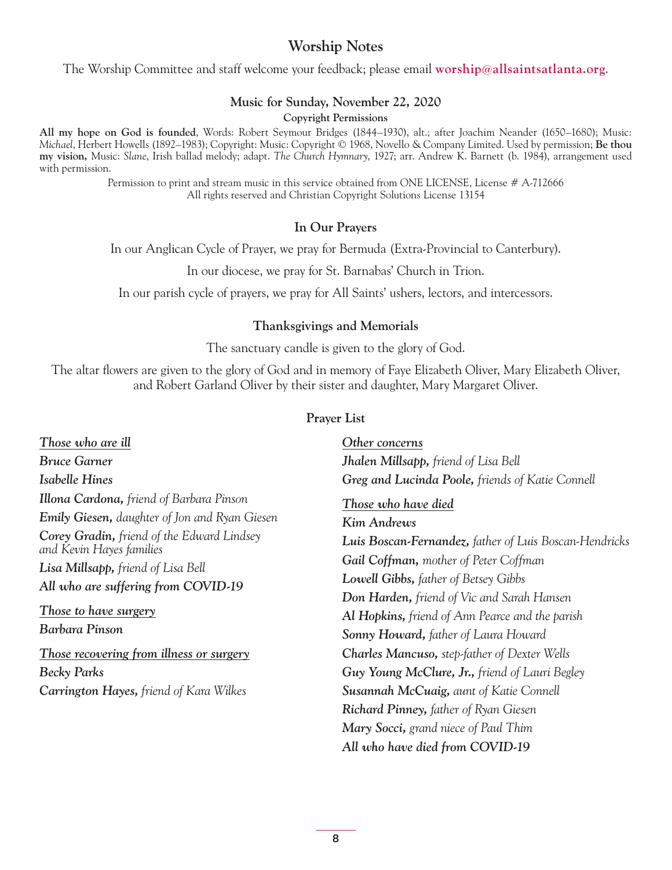## **Worship Notes**

The Worship Committee and staff welcome your feedback; please email **worship@allsaintsatlanta.org**.

#### **Music for Sunday, November 22, 2020**

#### **Copyright Permissions**

**All my hope on God is founded**, Words: Robert Seymour Bridges (1844–1930), alt.; after Joachim Neander (1650–1680); Music: *Michael*, Herbert Howells (1892–1983); Copyright: Music: Copyright © 1968, Novello & Company Limited. Used by permission; **Be thou my vision,** Music: *Slane*, Irish ballad melody; adapt. *The Church Hymnary*, 1927; arr. Andrew K. Barnett (b. 1984), arrangement used with permission.

> Permission to print and stream music in this service obtained from ONE LICENSE, License # A-712666 All rights reserved and Christian Copyright Solutions License 13154

#### **In Our Prayers**

In our Anglican Cycle of Prayer, we pray for Bermuda (Extra-Provincial to Canterbury).

In our diocese, we pray for St. Barnabas' Church in Trion.

In our parish cycle of prayers, we pray for All Saints' ushers, lectors, and intercessors.

#### **Thanksgivings and Memorials**

The sanctuary candle is given to the glory of God.

The altar flowers are given to the glory of God and in memory of Faye Elizabeth Oliver, Mary Elizabeth Oliver, and Robert Garland Oliver by their sister and daughter, Mary Margaret Oliver.

#### **Prayer List**

*Those who are ill Bruce Garner Isabelle Hines Illona Cardona, friend of Barbara Pinson Emily Giesen, daughter of Jon and Ryan Giesen Corey Gradin, friend of the Edward Lindsey and Kevin Hayes families Lisa Millsapp, friend of Lisa Bell All who are suffering from COVID-19 Those to have surgery Barbara Pinson Those recovering from illness or surgery Becky Parks Carrington Hayes, friend of Kara Wilkes Other concerns Jhalen Millsapp, friend of Lisa Bell Greg and Lucinda Poole, friends of Katie Connell Those who have died Kim Andrews Luis Boscan-Fernandez, father of Luis Boscan-Hendricks Gail Coffman, mother of Peter Coffman Lowell Gibbs, father of Betsey Gibbs Don Harden, friend of Vic and Sarah Hansen Al Hopkins, friend of Ann Pearce and the parish Sonny Howard, father of Laura Howard Charles Mancuso, step-father of Dexter Wells Guy Young McClure, Jr., friend of Lauri Begley Susannah McCuaig, aunt of Katie Connell Richard Pinney, father of Ryan Giesen Mary Socci, grand niece of Paul Thim*

8

*All who have died from COVID-19*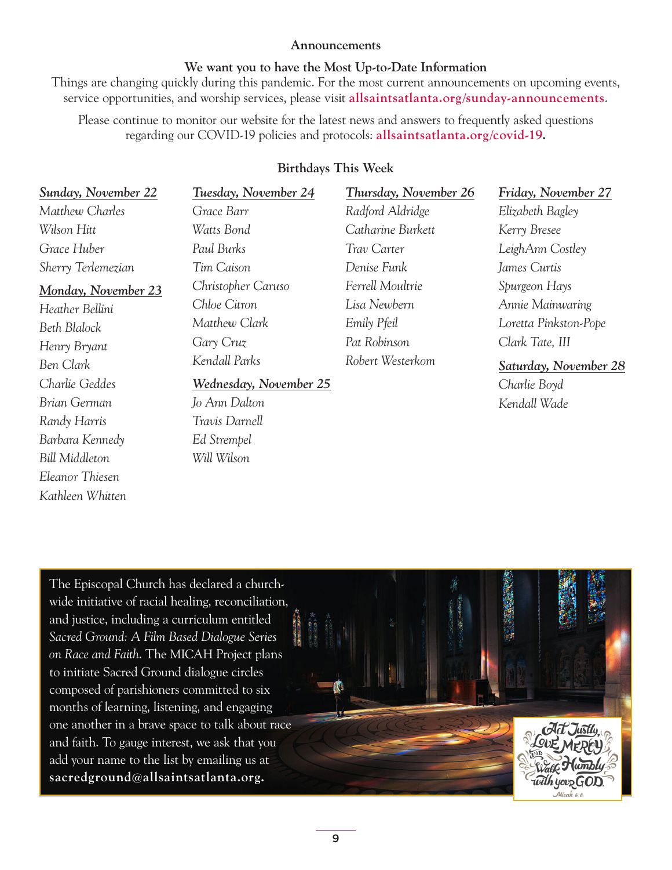#### **Announcements**

#### **We want you to have the Most Up-to-Date Information**

Things are changing quickly during this pandemic. For the most current announcements on upcoming events, service opportunities, and worship services, please visit **allsaintsatlanta.org/sunday-announcements**.

Please continue to monitor our website for the latest news and answers to frequently asked questions regarding our COVID-19 policies and protocols: **allsaintsatlanta.org/covid-19.**

#### **Birthdays This Week**

| Sunday, November 22 | Tuesday, November 24                   | Thursday, November 26 | Friday, November 27   |
|---------------------|----------------------------------------|-----------------------|-----------------------|
| Matthew Charles     | Grace Barr                             | Radford Aldridge      | Elizabeth Bagley      |
| Wilson Hitt         | Watts Bond                             | Catharine Burkett     | Kerry Bresee          |
| Grace Huber         | Paul Burks                             | Trav Carter           | LeighAnn Costley      |
| Sherry Terlemezian  | Tim Caison                             | Denise Funk           | James Curtis          |
| Monday, November 23 | Christopher Caruso                     | Ferrell Moultrie      | Spurgeon Hays         |
| Heather Bellini     | Chloe Citron                           | Lisa Newbern          | Annie Mainwaring      |
| Beth Blalock        | Matthew Clark                          | Emily Pfeil           | Loretta Pinkston-Pope |
| Henry Bryant        | Gary Cruz                              | Pat Robinson          | Clark Tate, III       |
| Ben Clark           | Kendall Parks                          | Robert Westerkom      | Saturday, November 28 |
| Charlie Geddes      | Wednesday, November 25<br>Charlie Boyd |                       |                       |
| Brian German        | Jo Ann Dalton                          |                       | Kendall Wade          |
| Randy Harris        | Travis Darnell                         |                       |                       |
| Barbara Kennedy     | Ed Strempel                            |                       |                       |

The Episcopal Church has declared a churchwide initiative of racial healing, reconciliation, and justice, including a curriculum entitled *Sacred Ground: A Film Based Dialogue Series on Race and Faith*. The MICAH Project plans to initiate Sacred Ground dialogue circles composed of parishioners committed to six months of learning, listening, and engaging one another in a brave space to talk about race and faith. To gauge interest, we ask that you add your name to the list by emailing us at **sacredground@allsaintsatlanta.org.**

*Will Wilson*

*Bill Middleton Eleanor Thiesen Kathleen Whitten*

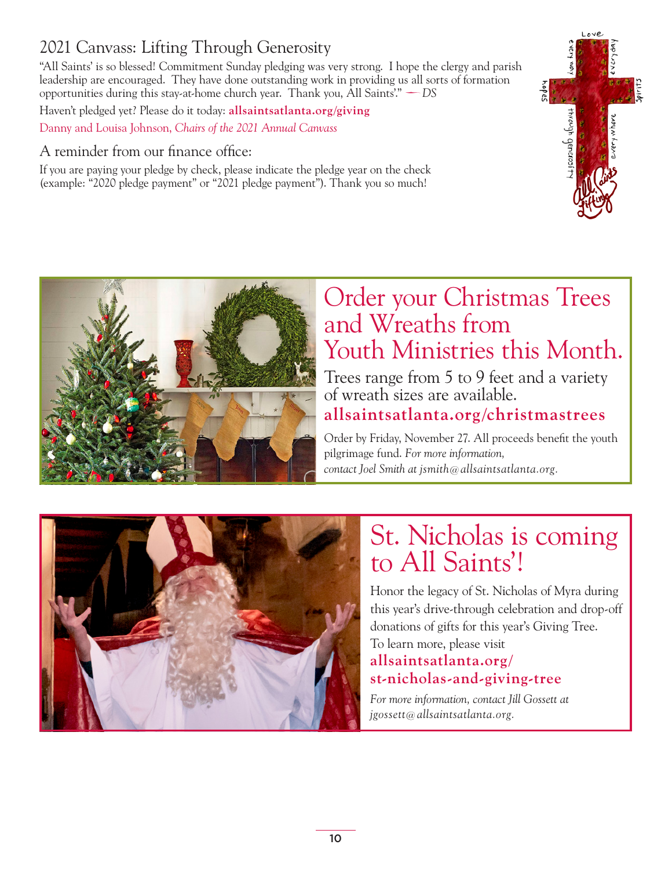## 2021 Canvass: Lifting Through Generosity

["All Saints' is so blessed! Commitment Sunday pledging was very strong. I hope the clergy and parish](%E2%80%A2%09https://allsaintsatlanta.org/giving)  leadership are encouraged. They have done outstanding work in providing us all sorts of formation opportunities during this stay-at-home church year. Thank you, All Saints'." *DS*

Haven't pledged yet? Please do it today: **allsaintsatlanta.org/giving** Danny and Louisa Johnson, *[Chairs of the 2021 Annual Canvass](https://www.jotform.com/AllSaints_ATL/contact-danny-and-louisa)*

## A reminder from our finance office:

If you are paying your pledge by check, please indicate the pledge year on the check (example: "2020 pledge payment" or "2021 pledge payment"). Thank you so much!





## Order your Christmas Trees and Wreaths from [Youth Ministries this Month.](http://www.yallsaints.church/christmastrees.html)

Trees range from 5 to 9 feet and a variety of wreath sizes are available.

## **allsaintsatlanta.org/christmastrees**

Order by Friday, November 27. All proceeds benefit the youth pilgrimage fund. *For more information, contact Joel Smith at jsmith@allsaintsatlanta.org.*



# [St. Nicholas is coming](https://allsaintsatlanta.org/st-nicholas-and-giving-tree)  to All Saints'!

Honor the legacy of St. Nicholas of Myra during this year's drive-through celebration and drop-off donations of gifts for this year's Giving Tree.

## To learn more, please visit **allsaintsatlanta.org/ st-nicholas-and-giving-tree**

*For more information, contact Jill Gossett at jgossett@allsaintsatlanta.org.*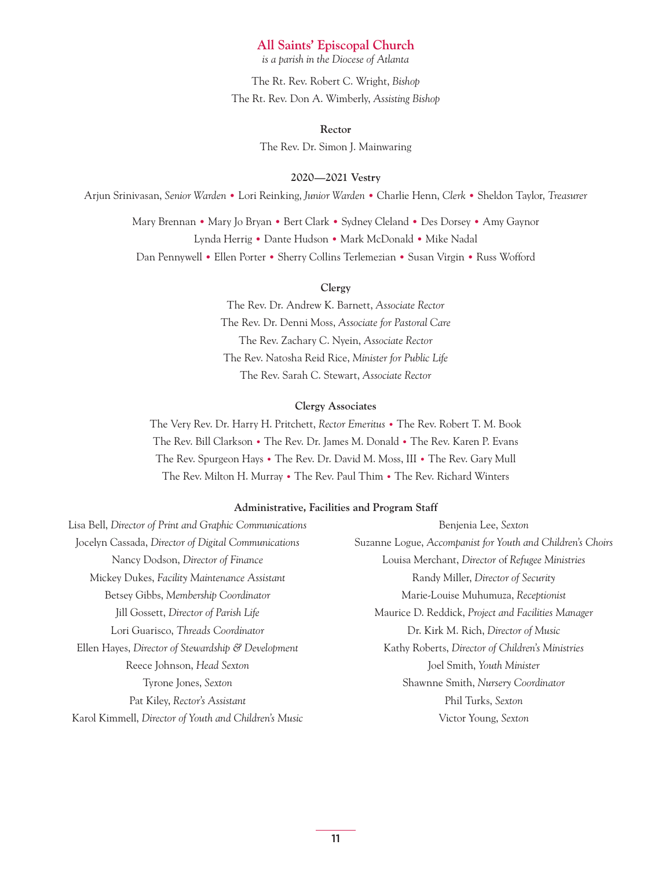#### **[All Saints' Episcopal Church](https://allsaintsatlanta.org/)**

*is a parish in the Diocese of Atlanta* 

The Rt. Rev. Robert C. Wright, *Bishop* The Rt. Rev. Don A. Wimberly, *Assisting Bishop* 

**Rector** 

The Rev. Dr. Simon J. Mainwaring

**2020—2021 Vestry** 

Arjun Srinivasan, *Senior Warden •* Lori Reinking, *Junior Warden •* Charlie Henn, *Clerk •* Sheldon Taylor, *Treasurer* 

Mary Brennan *•* Mary Jo Bryan *•* Bert Clark *•* Sydney Cleland *•* Des Dorsey *•* Amy Gaynor Lynda Herrig *•* Dante Hudson *•* Mark McDonald *•* Mike Nadal Dan Pennywell *•* Ellen Porter *•* Sherry Collins Terlemezian *•* Susan Virgin *•* Russ Wofford

#### **Clergy**

The Rev. Dr. Andrew K. Barnett, *Associate Rector* The Rev. Dr. Denni Moss, *Associate for Pastoral Care* The Rev. Zachary C. Nyein, *Associate Rector*  The Rev. Natosha Reid Rice, *Minister for Public Life* The Rev. Sarah C. Stewart, *Associate Rector* 

#### **Clergy Associates**

The Very Rev. Dr. Harry H. Pritchett, *Rector Emeritus •* The Rev. Robert T. M. Book The Rev. Bill Clarkson *•* The Rev. Dr. James M. Donald *•* The Rev. Karen P. Evans The Rev. Spurgeon Hays *•* The Rev. Dr. David M. Moss, III *•* The Rev. Gary Mull The Rev. Milton H. Murray *•* The Rev. Paul Thim *•* The Rev. Richard Winters

#### **Administrative, Facilities and Program Staff**

| Lisa Bell, Director of Print and Graphic Communications | Benjenia Lee, Sexton                                       |  |
|---------------------------------------------------------|------------------------------------------------------------|--|
| Jocelyn Cassada, Director of Digital Communications     | Suzanne Logue, Accompanist for Youth and Children's Choirs |  |
| Nancy Dodson, Director of Finance                       | Louisa Merchant, Director of Refugee Ministries            |  |
| Mickey Dukes, Facility Maintenance Assistant            | Randy Miller, Director of Security                         |  |
| Betsey Gibbs, Membership Coordinator                    | Marie-Louise Muhumuza, Receptionist                        |  |
| Jill Gossett, Director of Parish Life                   | Maurice D. Reddick, Project and Facilities Manager         |  |
| Lori Guarisco, Threads Coordinator                      | Dr. Kirk M. Rich, Director of Music                        |  |
| Ellen Hayes, Director of Stewardship & Development      | Kathy Roberts, Director of Children's Ministries           |  |
| Reece Johnson, Head Sexton                              | Joel Smith, Youth Minister                                 |  |
| Tyrone Jones, Sexton                                    | Shawnne Smith, Nursery Coordinator                         |  |
| Pat Kiley, Rector's Assistant                           | Phil Turks, Sexton                                         |  |
| Karol Kimmell, Director of Youth and Children's Music   | Victor Young, Sexton                                       |  |